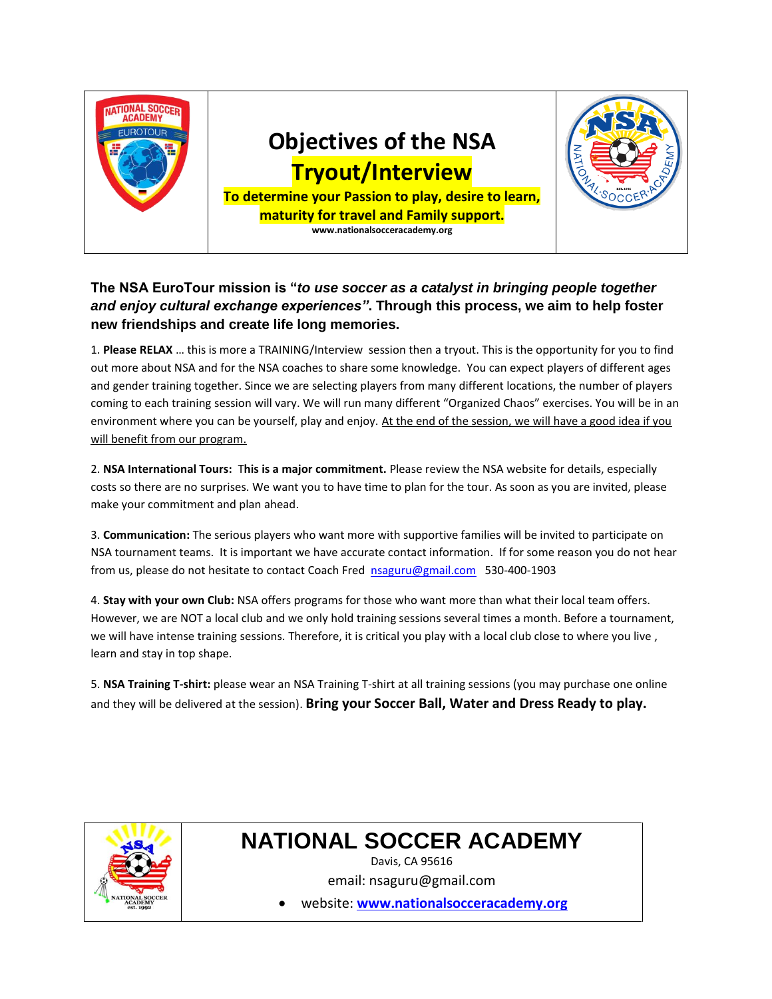

## **The NSA EuroTour mission is "***to use soccer as a catalyst in bringing people together and enjoy cultural exchange experiences"***. Through this process, we aim to help foster new friendships and create life long memories.**

1. **Please RELAX** … this is more a TRAINING/Interview session then a tryout. This is the opportunity for you to find out more about NSA and for the NSA coaches to share some knowledge. You can expect players of different ages and gender training together. Since we are selecting players from many different locations, the number of players coming to each training session will vary. We will run many different "Organized Chaos" exercises. You will be in an environment where you can be yourself, play and enjoy. At the end of the session, we will have a good idea if you will benefit from our program.

2. **NSA International Tours:** T**his is a major commitment.** Please review the NSA website for details, especially costs so there are no surprises. We want you to have time to plan for the tour. As soon as you are invited, please make your commitment and plan ahead.

3. **Communication:** The serious players who want more with supportive families will be invited to participate on NSA tournament teams. It is important we have accurate contact information. If for some reason you do not hear from us, please do not hesitate to contact Coach Fred [nsaguru@gmail.com](mailto:nsaguru@gmail.com) 530-400-1903

4. **Stay with your own Club:** NSA offers programs for those who want more than what their local team offers. However, we are NOT a local club and we only hold training sessions several times a month. Before a tournament, we will have intense training sessions. Therefore, it is critical you play with a local club close to where you live , learn and stay in top shape.

5. **NSA Training T-shirt:** please wear an NSA Training T-shirt at all training sessions (you may purchase one online and they will be delivered at the session). **Bring your Soccer Ball, Water and Dress Ready to play.**



## **NATIONAL SOCCER ACADEMY**

Davis, CA 95616 email: nsaguru@gmail.com

website: **[www.nationalsocceracademy.org](http://www.nationalsocceracademy.org/)**